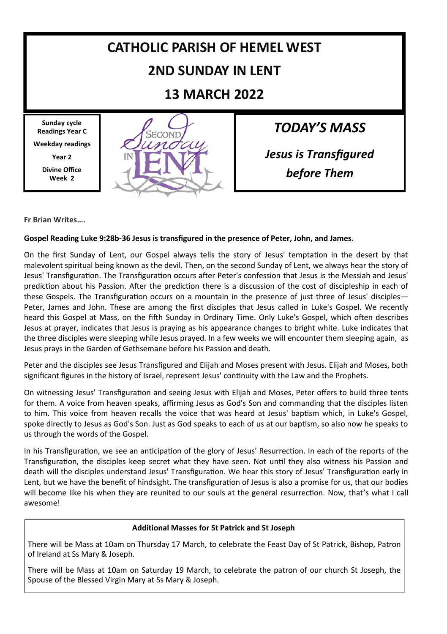

**Fr Brian Writes….**

#### **Gospel Reading Luke 9:28b-36 Jesus is transfigured in the presence of Peter, John, and James.**

On the first Sunday of Lent, our Gospel always tells the story of Jesus' temptation in the desert by that malevolent spiritual being known as the devil. Then, on the second Sunday of Lent, we always hear the story of Jesus' Transfiguration. The Transfiguration occurs after Peter's confession that Jesus is the Messiah and Jesus' prediction about his Passion. After the prediction there is a discussion of the cost of discipleship in each of these Gospels. The Transfiguration occurs on a mountain in the presence of just three of Jesus' disciples— Peter, James and John. These are among the first disciples that Jesus called in Luke's Gospel. We recently heard this Gospel at Mass, on the fifth Sunday in Ordinary Time. Only Luke's Gospel, which often describes Jesus at prayer, indicates that Jesus is praying as his appearance changes to bright white. Luke indicates that the three disciples were sleeping while Jesus prayed. In a few weeks we will encounter them sleeping again, as Jesus prays in the Garden of Gethsemane before his Passion and death.

Peter and the disciples see Jesus Transfigured and Elijah and Moses present with Jesus. Elijah and Moses, both significant figures in the history of Israel, represent Jesus' continuity with the Law and the Prophets.

On witnessing Jesus' Transfiguration and seeing Jesus with Elijah and Moses, Peter offers to build three tents for them. A voice from heaven speaks, affirming Jesus as God's Son and commanding that the disciples listen to him. This voice from heaven recalls the voice that was heard at Jesus' baptism which, in Luke's Gospel, spoke directly to Jesus as God's Son. Just as God speaks to each of us at our baptism, so also now he speaks to us through the words of the Gospel.

In his Transfiguration, we see an anticipation of the glory of Jesus' Resurrection. In each of the reports of the Transfiguration, the disciples keep secret what they have seen. Not until they also witness his Passion and death will the disciples understand Jesus' Transfiguration. We hear this story of Jesus' Transfiguration early in Lent, but we have the benefit of hindsight. The transfiguration of Jesus is also a promise for us, that our bodies will become like his when they are reunited to our souls at the general resurrection. Now, that's what I call awesome!

#### **Additional Masses for St Patrick and St Joseph**

There will be Mass at 10am on Thursday 17 March, to celebrate the Feast Day of St Patrick, Bishop, Patron of Ireland at Ss Mary & Joseph.

There will be Mass at 10am on Saturday 19 March, to celebrate the patron of our church St Joseph, the Spouse of the Blessed Virgin Mary at Ss Mary & Joseph.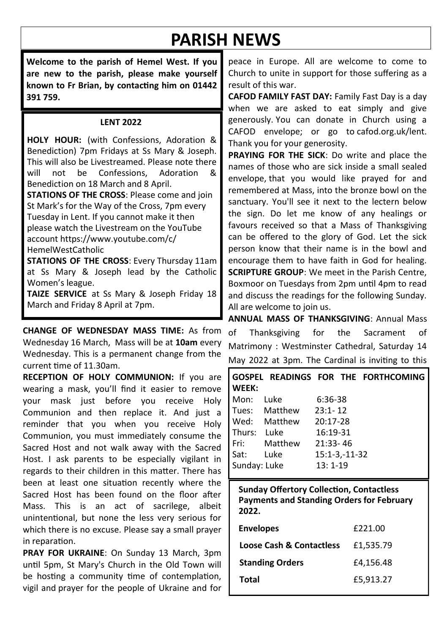# **PARISH NEWS**

**Welcome to the parish of Hemel West. If you are new to the parish, please make yourself known to Fr Brian, by contacting him on 01442 391 759.**

#### **LENT 2022**

**HOLY HOUR:** (with Confessions, Adoration & Benediction) 7pm Fridays at Ss Mary & Joseph. This will also be Livestreamed. Please note there<br>will not be Confessions Adoration & will not be Confessions, Adoration & Benediction on 18 March and 8 April.

**STATIONS OF THE CROSS**: Please come and join St Mark's for the Way of the Cross, 7pm every Tuesday in Lent. If you cannot make it then please watch the Livestream on the YouTube account https://www.youtube.com/c/ HemelWestCatholic

**STATIONS OF THE CROSS**: Every Thursday 11am at Ss Mary & Joseph lead by the Catholic Women's league.

**TAIZE SERVICE** at Ss Mary & Joseph Friday 18 March and Friday 8 April at 7pm.

**CHANGE OF WEDNESDAY MASS TIME:** As from Wednesday 16 March, Mass will be at **10am** every Wednesday. This is a permanent change from the current time of 11.30am.

**RECEPTION OF HOLY COMMUNION:** If you are wearing a mask, you'll find it easier to remove your mask just before you receive Holy Communion and then replace it. And just a reminder that you when you receive Holy Communion, you must immediately consume the Sacred Host and not walk away with the Sacred Host. I ask parents to be especially vigilant in regards to their children in this matter. There has been at least one situation recently where the Sacred Host has been found on the floor after Mass. This is an act of sacrilege, albeit unintentional, but none the less very serious for which there is no excuse. Please say a small prayer in reparation.

**PRAY FOR UKRAINE**: On Sunday 13 March, 3pm until 5pm, St Mary's Church in the Old Town will be hosting a community time of contemplation, vigil and prayer for the people of Ukraine and for

peace in Europe. All are welcome to come to Church to unite in support for those suffering as a result of this war.

**CAFOD FAMILY FAST DAY:** Family Fast Day is a day when we are asked to eat simply and give generously. You can donate in Church using a CAFOD envelope; or go to cafod.org.uk/lent. Thank you for your generosity.

**PRAYING FOR THE SICK**: Do write and place the names of those who are sick inside a small sealed envelope, that you would like prayed for and remembered at Mass, into the bronze bowl on the sanctuary. You'll see it next to the lectern below the sign. Do let me know of any healings or favours received so that a Mass of Thanksgiving can be offered to the glory of God. Let the sick person know that their name is in the bowl and encourage them to have faith in God for healing. **SCRIPTURE GROUP**: We meet in the Parish Centre, Boxmoor on Tuesdays from 2pm until 4pm to read and discuss the readings for the following Sunday. All are welcome to join us.

**ANNUAL MASS OF THANKSGIVING**: Annual Mass of Thanksgiving for the Sacrament of Matrimony : Westminster Cathedral, Saturday 14 May 2022 at 3pm. The Cardinal is inviting to this

| l WEEK:      |                       | GOSPEL READINGS FOR THE FORTHCOMING |
|--------------|-----------------------|-------------------------------------|
| Mon:         | Luke                  | 6:36-38                             |
|              | Tues: Matthew 23:1-12 |                                     |
|              | Wed: Matthew 20:17-28 |                                     |
| Thurs:       | Luke                  | 16:19-31                            |
|              | Fri: Matthew          | 21:33-46                            |
| Sat: Luke    |                       | $15:1-3,-11-32$                     |
| Sunday: Luke |                       | $13:1-19$                           |

**Sunday Offertory Collection, Contactless Payments and Standing Orders for February 2022.**

| <b>Envelopes</b>                    | £221.00   |
|-------------------------------------|-----------|
| <b>Loose Cash &amp; Contactless</b> | £1,535.79 |
| <b>Standing Orders</b>              | £4,156.48 |
| Total                               | £5,913.27 |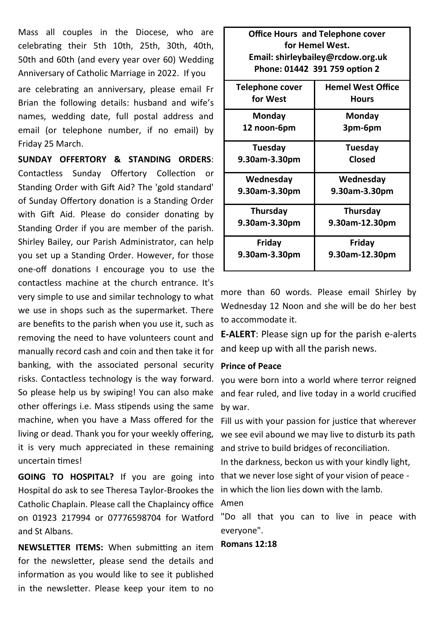Mass all couples in the Diocese, who are celebrating their 5th 10th, 25th, 30th, 40th, 50th and 60th (and every year over 60) Wedding Anniversary of Catholic Marriage in 2022. If you are celebrating an anniversary, please email Fr Brian the following details: husband and wife's names, wedding date, full postal address and email (or telephone number, if no email) by Friday 25 March.

**SUNDAY OFFERTORY & STANDING ORDERS**: Contactless Sunday Offertory Collection or Standing Order with Gift Aid? The 'gold standard' of Sunday Offertory donation is a Standing Order with Gift Aid. Please do consider donating by Standing Order if you are member of the parish. Shirley Bailey, our Parish Administrator, can help you set up a Standing Order. However, for those one-off donations I encourage you to use the contactless machine at the church entrance. It's very simple to use and similar technology to what we use in shops such as the supermarket. There are benefits to the parish when you use it, such as removing the need to have volunteers count and manually record cash and coin and then take it for banking, with the associated personal security risks. Contactless technology is the way forward. So please help us by swiping! You can also make other offerings i.e. Mass stipends using the same machine, when you have a Mass offered for the living or dead. Thank you for your weekly offering, it is very much appreciated in these remaining uncertain times!

Hospital do ask to see Theresa Taylor-Brookes the Catholic Chaplain. Please call the Chaplaincy office on 01923 217994 or 07776598704 for Watford and St Albans.

**NEWSLETTER ITEMS:** When submitting an item for the newsletter, please send the details and information as you would like to see it published in the newsletter. Please keep your item to no

| <b>Office Hours and Telephone cover</b> |                          |  |  |  |  |
|-----------------------------------------|--------------------------|--|--|--|--|
| for Hemel West.                         |                          |  |  |  |  |
| Email: shirleybailey@rcdow.org.uk       |                          |  |  |  |  |
| Phone: 01442 391 759 option 2           |                          |  |  |  |  |
| Telephone cover                         | <b>Hemel West Office</b> |  |  |  |  |
| for West                                | <b>Hours</b>             |  |  |  |  |
| Mondav                                  | Monday                   |  |  |  |  |
| 12 noon-6pm                             | 3pm-6pm                  |  |  |  |  |
| Tuesday                                 | Tuesday                  |  |  |  |  |
| 9.30am-3.30pm                           | Closed                   |  |  |  |  |
| Wednesday                               | Wednesday                |  |  |  |  |
| 9.30am-3.30pm                           | 9.30am-3.30pm            |  |  |  |  |
| Thursday                                | Thursday                 |  |  |  |  |
| 9.30am-3.30pm                           | 9.30am-12.30pm           |  |  |  |  |
| Friday                                  | Friday                   |  |  |  |  |
| 9.30am-3.30pm                           | 9.30am-12.30pm           |  |  |  |  |

more than 60 words. Please email Shirley by Wednesday 12 Noon and she will be do her best to accommodate it.

**E-ALERT**: Please sign up for the parish e-alerts and keep up with all the parish news.

#### **Prince of Peace**

you were born into a world where terror reigned and fear ruled, and live today in a world crucified by war.

Fill us with your passion for justice that wherever we see evil abound we may live to disturb its path and strive to build bridges of reconciliation.

**GOING TO HOSPITAL?** If you are going into that we never lose sight of your vision of peace -In the darkness, beckon us with your kindly light, in which the lion lies down with the lamb. Amen

> "Do all that you can to live in peace with everyone".

#### **Romans 12:18**